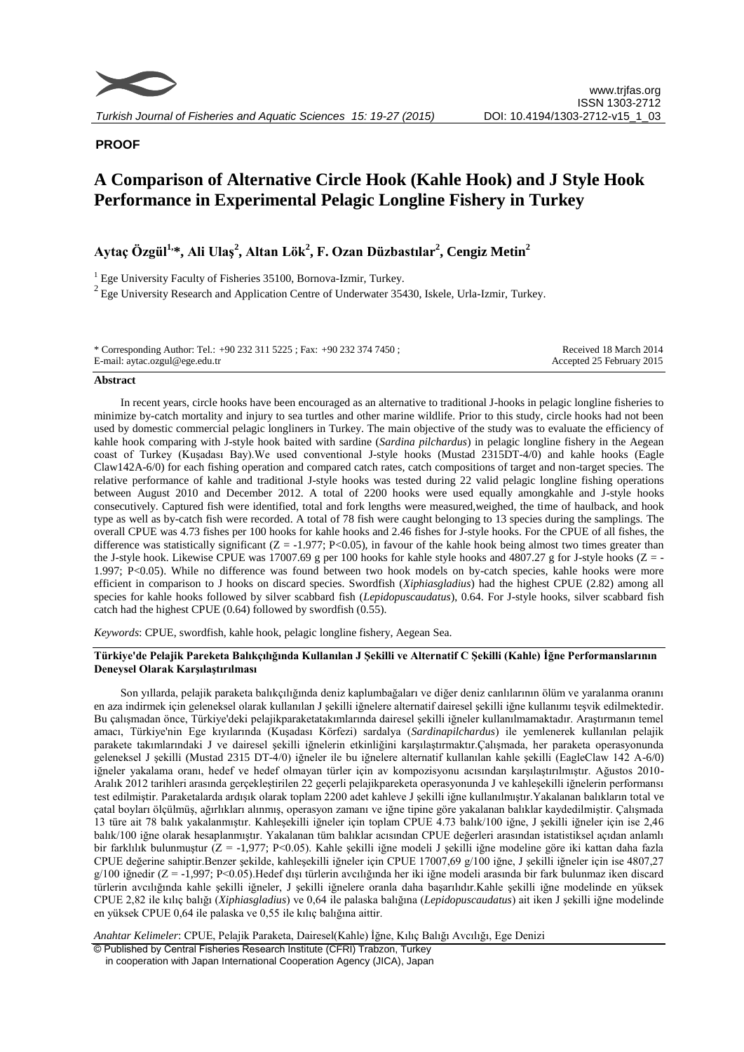

## **PROOF**

# **A Comparison of Alternative Circle Hook (Kahle Hook) and J Style Hook Performance in Experimental Pelagic Longline Fishery in Turkey**

# **Aytaç Özgül1, \*, Ali Ulaş<sup>2</sup> , Altan Lök<sup>2</sup> , F. Ozan Düzbastılar<sup>2</sup> , Cengiz Metin<sup>2</sup>**

<sup>1</sup> Ege University Faculty of Fisheries 35100, Bornova-Izmir, Turkey.  $2$  Ege University Research and Application Centre of Underwater 35430, Iskele, Urla-Izmir, Turkey.

| * Corresponding Author: Tel.: +90 232 311 5225 ; Fax: +90 232 374 7450 ; | Received 18 March 2014    |
|--------------------------------------------------------------------------|---------------------------|
| E-mail: aytac.ozgul@ege.edu.tr                                           | Accepted 25 February 2015 |

#### **Abstract**

In recent years, circle hooks have been encouraged as an alternative to traditional J-hooks in pelagic longline fisheries to minimize by-catch mortality and injury to sea turtles and other marine wildlife. Prior to this study, circle hooks had not been used by domestic commercial pelagic longliners in Turkey. The main objective of the study was to evaluate the efficiency of kahle hook comparing with J-style hook baited with sardine (*Sardina pilchardus*) in pelagic longline fishery in the Aegean coast of Turkey (Kuşadası Bay).We used conventional J-style hooks (Mustad 2315DT-4/0) and kahle hooks (Eagle Claw142A-6/0) for each fishing operation and compared catch rates, catch compositions of target and non-target species. The relative performance of kahle and traditional J-style hooks was tested during 22 valid pelagic longline fishing operations between August 2010 and December 2012. A total of 2200 hooks were used equally amongkahle and J-style hooks consecutively. Captured fish were identified, total and fork lengths were measured,weighed, the time of haulback, and hook type as well as by-catch fish were recorded. A total of 78 fish were caught belonging to 13 species during the samplings. The overall CPUE was 4.73 fishes per 100 hooks for kahle hooks and 2.46 fishes for J-style hooks. For the CPUE of all fishes, the difference was statistically significant  $(Z = -1.977; P < 0.05)$ , in favour of the kahle hook being almost two times greater than the J-style hook. Likewise CPUE was 17007.69 g per 100 hooks for kahle style hooks and 4807.27 g for J-style hooks ( $Z = -$ 1.997; P<0.05). While no difference was found between two hook models on by-catch species, kahle hooks were more efficient in comparison to J hooks on discard species. Swordfish (*Xiphiasgladius*) had the highest CPUE (2.82) among all species for kahle hooks followed by silver scabbard fish (*Lepidopuscaudatus*), 0.64. For J-style hooks, silver scabbard fish catch had the highest CPUE (0.64) followed by swordfish (0.55).

*Keywords*: CPUE, swordfish, kahle hook, pelagic longline fishery, Aegean Sea.

#### **Türkiye'de Pelajik Pareketa Balıkçılığında Kullanılan J Şekilli ve Alternatif C Şekilli (Kahle) İğne Performanslarının Deneysel Olarak Karşılaştırılması**

Son yıllarda, pelajik paraketa balıkçılığında deniz kaplumbağaları ve diğer deniz canlılarının ölüm ve yaralanma oranını en aza indirmek için geleneksel olarak kullanılan J şekilli iğnelere alternatif dairesel şekilli iğne kullanımı teşvik edilmektedir. Bu çalışmadan önce, Türkiye'deki pelajikparaketatakımlarında dairesel şekilli iğneler kullanılmamaktadır. Araştırmanın temel amacı, Türkiye'nin Ege kıyılarında (Kuşadası Körfezi) sardalya (*Sardinapilchardus*) ile yemlenerek kullanılan pelajik parakete takımlarındaki J ve dairesel şekilli iğnelerin etkinliğini karşılaştırmaktır.Çalışmada, her paraketa operasyonunda geleneksel J şekilli (Mustad 2315 DT-4/0) iğneler ile bu iğnelere alternatif kullanılan kahle şekilli (EagleClaw 142 A-6/0) iğneler yakalama oranı, hedef ve hedef olmayan türler için av kompozisyonu acısından karşılaştırılmıştır. Ağustos 2010- Aralık 2012 tarihleri arasında gerçekleştirilen 22 geçerli pelajikpareketa operasyonunda J ve kahleşekilli iğnelerin performansı test edilmiştir. Paraketalarda ardışık olarak toplam 2200 adet kahleve J şekilli iğne kullanılmıştır.Yakalanan balıkların total ve çatal boyları ölçülmüş, ağırlıkları alınmış, operasyon zamanı ve iğne tipine göre yakalanan balıklar kaydedilmiştir. Çalışmada 13 türe ait 78 balık yakalanmıştır. Kahleşekilli iğneler için toplam CPUE 4.73 balık/100 iğne, J şekilli iğneler için ise 2,46 balık/100 iğne olarak hesaplanmıştır. Yakalanan tüm balıklar acısından CPUE değerleri arasından istatistiksel açıdan anlamlı bir farklılık bulunmuştur (Z = -1,977; P<0.05). Kahle şekilli iğne modeli J şekilli iğne modeline göre iki kattan daha fazla CPUE değerine sahiptir.Benzer şekilde, kahleşekilli iğneler için CPUE 17007,69 g/100 iğne, J şekilli iğneler için ise 4807,27 g/100 iğnedir (Z = -1,997; P<0.05).Hedef dışı türlerin avcılığında her iki iğne modeli arasında bir fark bulunmaz iken discard türlerin avcılığında kahle şekilli iğneler, J şekilli iğnelere oranla daha başarılıdır.Kahle şekilli iğne modelinde en yüksek CPUE 2,82 ile kılıç balığı (*Xiphiasgladius*) ve 0,64 ile palaska balığına (*Lepidopuscaudatus*) ait iken J şekilli iğne modelinde en yüksek CPUE 0,64 ile palaska ve 0,55 ile kılıç balığına aittir.

*Anahtar Kelimeler*: CPUE, Pelajik Paraketa, Dairesel(Kahle) İğne, Kılıç Balığı Avcılığı, Ege Denizi

© Published by Central Fisheries Research Institute (CFRI) Trabzon, Turkey in cooperation with Japan International Cooperation Agency (JICA), Japan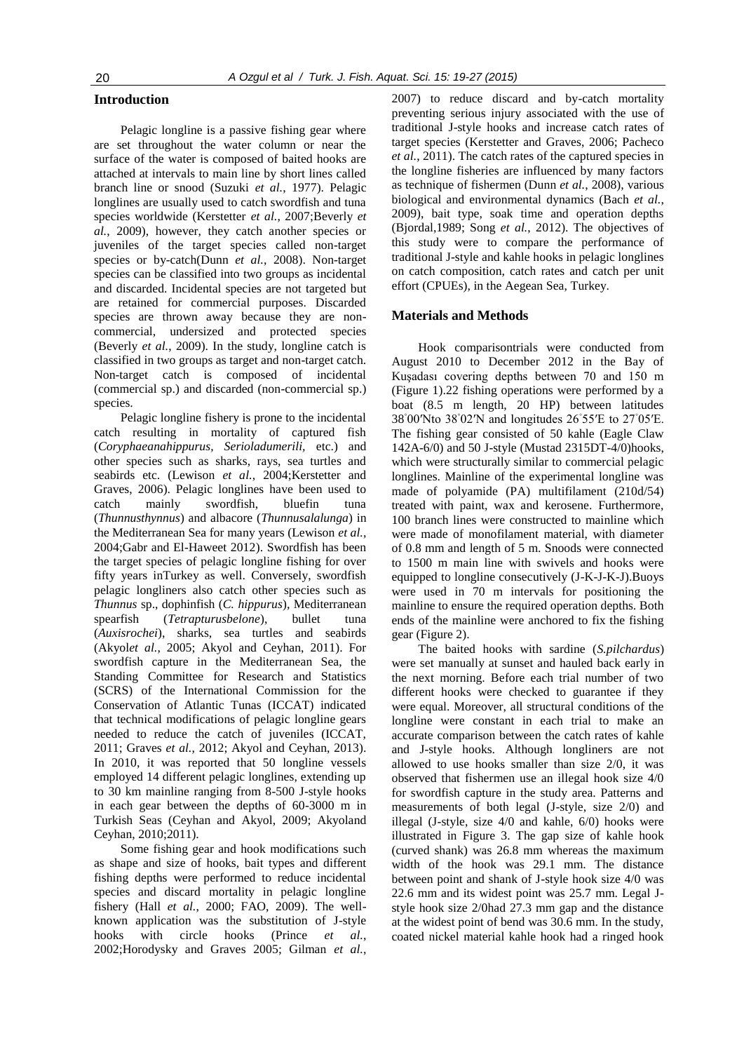#### **Introduction**

Pelagic longline is a passive fishing gear where are set throughout the water column or near the surface of the water is composed of baited hooks are attached at intervals to main line by short lines called branch line or snood (Suzuki *et al.*, 1977). Pelagic longlines are usually used to catch swordfish and tuna species worldwide (Kerstetter *et al.*, 2007;Beverly *et al.*, 2009), however, they catch another species or juveniles of the target species called non-target species or by-catch(Dunn *et al.*, 2008). Non-target species can be classified into two groups as incidental and discarded. Incidental species are not targeted but are retained for commercial purposes. Discarded species are thrown away because they are noncommercial, undersized and protected species (Beverly *et al.*, 2009). In the study, longline catch is classified in two groups as target and non-target catch. Non-target catch is composed of incidental (commercial sp.) and discarded (non-commercial sp.) species.

Pelagic longline fishery is prone to the incidental catch resulting in mortality of captured fish (*Coryphaeanahippurus, Serioladumerili,* etc.) and other species such as sharks, rays, sea turtles and seabirds etc. (Lewison et al., 2004;Kerstetter and Graves, 2006). Pelagic longlines have been used to catch mainly swordfish, bluefin tuna (*Thunnusthynnus*) and albacore (*Thunnusalalunga*) in the Mediterranean Sea for many years (Lewison *et al.*, 2004;Gabr and El-Haweet 2012). Swordfish has been the target species of pelagic longline fishing for over fifty years inTurkey as well. Conversely, swordfish pelagic longliners also catch other species such as *Thunnus* sp., dophinfish (*C. hippurus*)*,* Mediterranean spearfish (*Tetrapturusbelone*), bullet tuna (*Auxisrochei*), sharks, sea turtles and seabirds (Akyol*et al.*, 2005; Akyol and Ceyhan, 2011). For swordfish capture in the Mediterranean Sea, the Standing Committee for Research and Statistics (SCRS) of the International Commission for the Conservation of Atlantic Tunas (ICCAT) indicated that technical modifications of pelagic longline gears needed to reduce the catch of juveniles (ICCAT, 2011; Graves *et al.*, 2012; Akyol and Ceyhan, 2013). In 2010, it was reported that 50 longline vessels employed 14 different pelagic longlines, extending up to 30 km mainline ranging from 8-500 J-style hooks in each gear between the depths of 60-3000 m in Turkish Seas (Ceyhan and Akyol, 2009; Akyoland Ceyhan, 2010;2011).

Some fishing gear and hook modifications such as shape and size of hooks, bait types and different fishing depths were performed to reduce incidental species and discard mortality in pelagic longline fishery (Hall *et al.*, 2000; FAO, 2009). The wellknown application was the substitution of J-style hooks with circle hooks (Prince *et al.*, 2002;Horodysky and Graves 2005; Gilman *et al.*,

2007) to reduce discard and by-catch mortality preventing serious injury associated with the use of traditional J-style hooks and increase catch rates of target species (Kerstetter and Graves, 2006; Pacheco *et al.*, 2011). The catch rates of the captured species in the longline fisheries are influenced by many factors as technique of fishermen (Dunn *et al.*, 2008), various biological and environmental dynamics (Bach *et al.*, 2009), bait type, soak time and operation depths (Bjordal,1989; Song *et al.*, 2012). The objectives of this study were to compare the performance of traditional J-style and kahle hooks in pelagic longlines on catch composition, catch rates and catch per unit effort (CPUEs), in the Aegean Sea, Turkey.

#### **Materials and Methods**

Hook comparisontrials were conducted from August 2010 to December 2012 in the Bay of Kuşadası covering depths between 70 and 150 m (Figure 1).22 fishing operations were performed by a boat (8.5 m length, 20 HP) between latitudes 38◦ 00′Nto 38◦ 02′N and longitudes 26◦ 55′E to 27◦ 05′E. The fishing gear consisted of 50 kahle (Eagle Claw 142A-6/0) and 50 J-style (Mustad 2315DT-4/0)hooks, which were structurally similar to commercial pelagic longlines. Mainline of the experimental longline was made of polyamide (PA) multifilament (210d/54) treated with paint, wax and kerosene. Furthermore, 100 branch lines were constructed to mainline which were made of monofilament material, with diameter of 0.8 mm and length of 5 m. Snoods were connected to 1500 m main line with swivels and hooks were equipped to longline consecutively (J-K-J-K-J).Buoys were used in 70 m intervals for positioning the mainline to ensure the required operation depths. Both ends of the mainline were anchored to fix the fishing gear (Figure 2).

The baited hooks with sardine (*S.pilchardus*) were set manually at sunset and hauled back early in the next morning. Before each trial number of two different hooks were checked to guarantee if they were equal. Moreover, all structural conditions of the longline were constant in each trial to make an accurate comparison between the catch rates of kahle and J-style hooks. Although longliners are not allowed to use hooks smaller than size 2/0, it was observed that fishermen use an illegal hook size 4/0 for swordfish capture in the study area. Patterns and measurements of both legal (J-style, size 2/0) and illegal (J-style, size 4/0 and kahle, 6/0) hooks were illustrated in Figure 3. The gap size of kahle hook (curved shank) was 26.8 mm whereas the maximum width of the hook was 29.1 mm. The distance between point and shank of J-style hook size 4/0 was 22.6 mm and its widest point was 25.7 mm. Legal Jstyle hook size 2/0had 27.3 mm gap and the distance at the widest point of bend was 30.6 mm. In the study, coated nickel material kahle hook had a ringed hook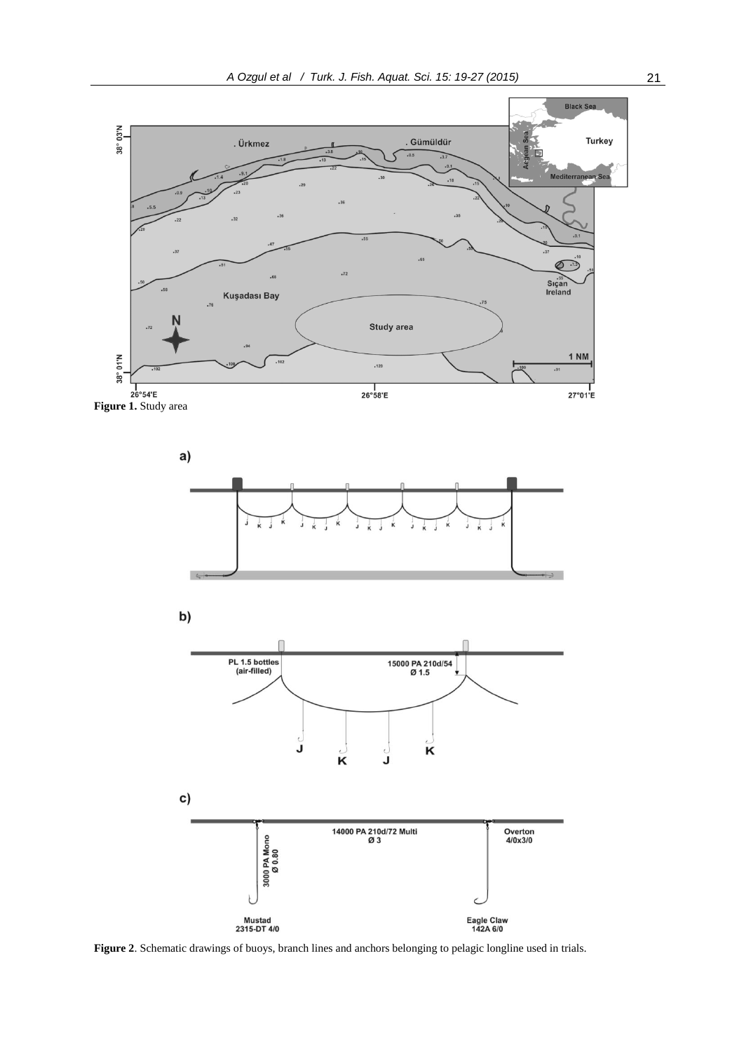

**Figure 2**. Schematic drawings of buoys, branch lines and anchors belonging to pelagic longline used in trials.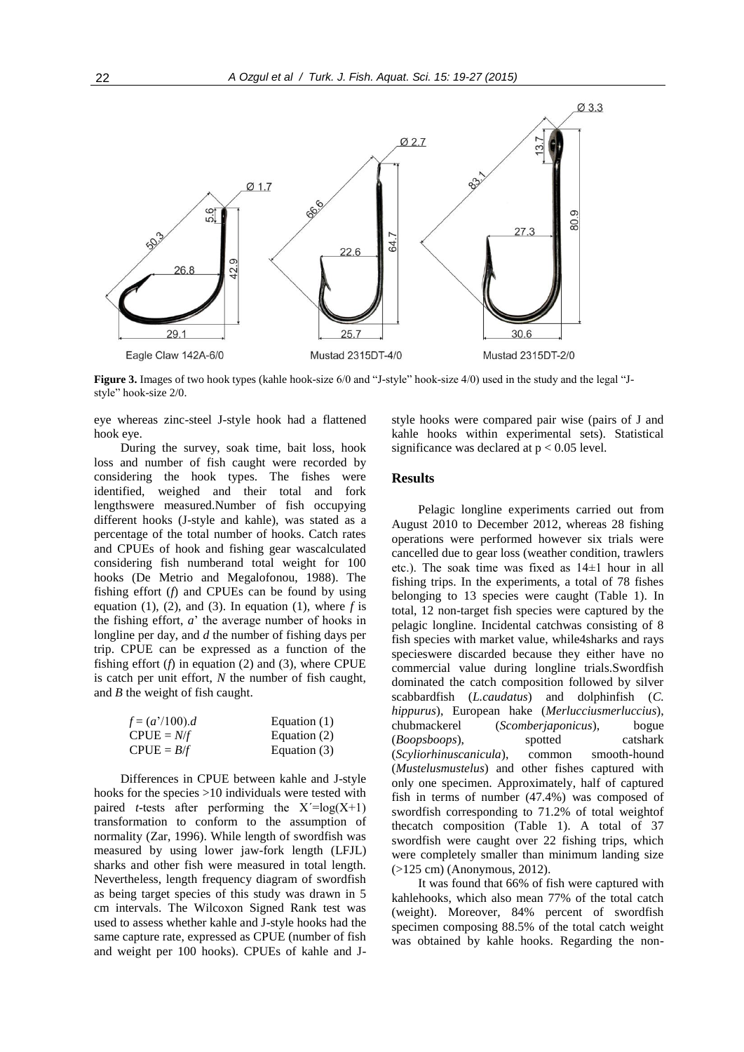

**Figure 3.** Images of two hook types (kahle hook-size 6/0 and "J-style" hook-size 4/0) used in the study and the legal "Jstyle" hook-size 2/0.

eye whereas zinc-steel J-style hook had a flattened hook eye.

During the survey, soak time, bait loss, hook loss and number of fish caught were recorded by considering the hook types. The fishes were identified, weighed and their total and fork lengthswere measured.Number of fish occupying different hooks (J-style and kahle), was stated as a percentage of the total number of hooks. Catch rates and CPUEs of hook and fishing gear wascalculated considering fish numberand total weight for 100 hooks (De Metrio and Megalofonou, 1988). The fishing effort (*f*) and CPUEs can be found by using equation  $(1)$ ,  $(2)$ , and  $(3)$ . In equation  $(1)$ , where *f* is the fishing effort, *a*' the average number of hooks in longline per day, and *d* the number of fishing days per trip. CPUE can be expressed as a function of the fishing effort  $(f)$  in equation  $(2)$  and  $(3)$ , where CPUE is catch per unit effort, *N* the number of fish caught, and *B* the weight of fish caught.

| $f = (a'/100).d$ | Equation $(1)$ |
|------------------|----------------|
| $CPUE = N/f$     | Equation (2)   |
| $CPUE = B/f$     | Equation (3)   |

Differences in CPUE between kahle and J-style hooks for the species >10 individuals were tested with paired *t*-tests after performing the  $X' = log(X+1)$ transformation to conform to the assumption of normality (Zar, 1996). While length of swordfish was measured by using lower jaw-fork length (LFJL) sharks and other fish were measured in total length. Nevertheless, length frequency diagram of swordfish as being target species of this study was drawn in 5 cm intervals. The Wilcoxon Signed Rank test was used to assess whether kahle and J-style hooks had the same capture rate, expressed as CPUE (number of fish and weight per 100 hooks). CPUEs of kahle and J- style hooks were compared pair wise (pairs of J and kahle hooks within experimental sets). Statistical significance was declared at  $p < 0.05$  level.

### **Results**

Pelagic longline experiments carried out from August 2010 to December 2012, whereas 28 fishing operations were performed however six trials were cancelled due to gear loss (weather condition, trawlers etc.). The soak time was fixed as 14±1 hour in all fishing trips. In the experiments, a total of 78 fishes belonging to 13 species were caught (Table 1). In total, 12 non-target fish species were captured by the pelagic longline. Incidental catchwas consisting of 8 fish species with market value, while4sharks and rays specieswere discarded because they either have no commercial value during longline trials.Swordfish dominated the catch composition followed by silver scabbardfish (*L.caudatus*) and dolphinfish (*C. hippurus*), European hake (*Merlucciusmerluccius*), chubmackerel (*Scomberjaponicus*), bogue (*Boopsboops*), spotted catshark (*Scyliorhinuscanicula*), common smooth-hound (*Mustelusmustelus*) and other fishes captured with only one specimen. Approximately, half of captured fish in terms of number (47.4%) was composed of swordfish corresponding to 71.2% of total weightof thecatch composition (Table 1). A total of 37 swordfish were caught over 22 fishing trips, which were completely smaller than minimum landing size (>125 cm) (Anonymous, 2012).

It was found that 66% of fish were captured with kahlehooks, which also mean 77% of the total catch (weight). Moreover, 84% percent of swordfish specimen composing 88.5% of the total catch weight was obtained by kahle hooks. Regarding the non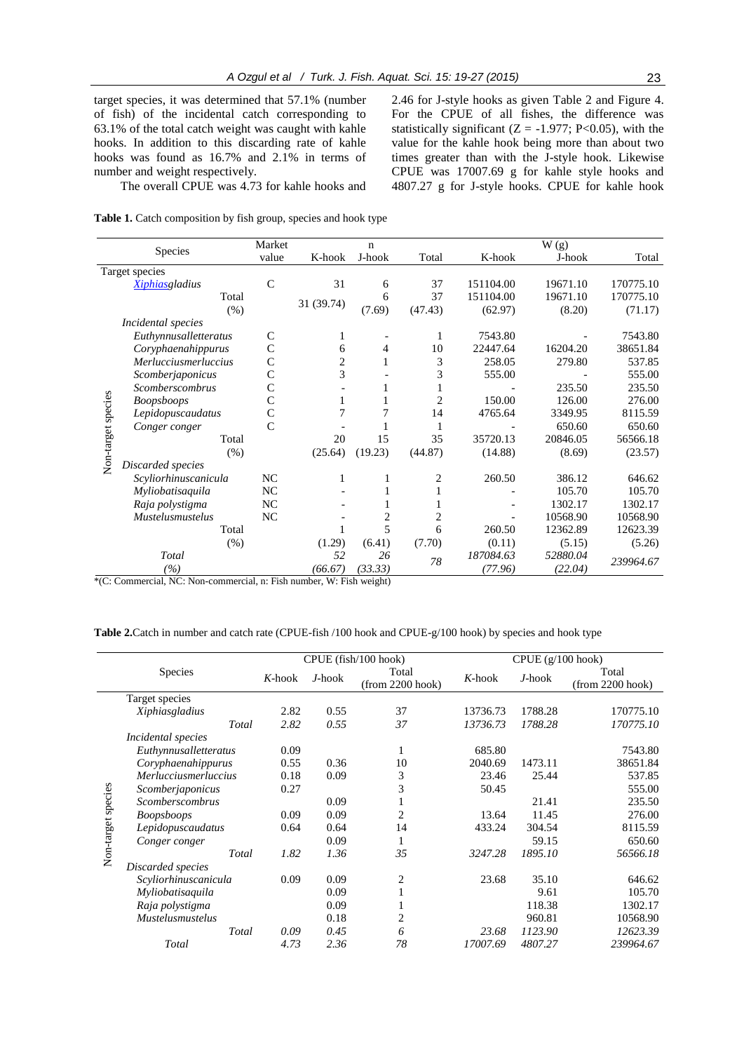target species, it was determined that 57.1% (number of fish) of the incidental catch corresponding to 63.1% of the total catch weight was caught with kahle hooks. In addition to this discarding rate of kahle hooks was found as 16.7% and 2.1% in terms of number and weight respectively.

2.46 for J-style hooks as given Table 2 and Figure 4. For the CPUE of all fishes, the difference was statistically significant ( $Z = -1.977$ ; P<0.05), with the value for the kahle hook being more than about two times greater than with the J-style hook. Likewise CPUE was 17007.69 g for kahle style hooks and 4807.27 g for J-style hooks. CPUE for kahle hook

The overall CPUE was 4.73 for kahle hooks and

|  | Table 1. Catch composition by fish group, species and hook type |  |  |
|--|-----------------------------------------------------------------|--|--|
|  |                                                                 |  |  |

| Species            |                         | Market       |            | n       |                |           | W(g)     |           |
|--------------------|-------------------------|--------------|------------|---------|----------------|-----------|----------|-----------|
|                    |                         | value        | K-hook     | J-hook  | Total          | K-hook    | J-hook   | Total     |
|                    | Target species          |              |            |         |                |           |          |           |
|                    | <b>Xiphiasgladius</b>   | $\mathsf{C}$ | 31         | 6       | 37             | 151104.00 | 19671.10 | 170775.10 |
|                    | Total                   |              |            | 6       | 37             | 151104.00 | 19671.10 | 170775.10 |
|                    | (% )                    |              | 31 (39.74) | (7.69)  | (47.43)        | (62.97)   | (8.20)   | (71.17)   |
|                    | Incidental species      |              |            |         |                |           |          |           |
|                    | Euthynnusalletteratus   | C            | 1          |         | 1              | 7543.80   |          | 7543.80   |
|                    | Coryphaenahippurus      |              | 6          | 4       | 10             | 22447.64  | 16204.20 | 38651.84  |
|                    | Merlucciusmerluccius    |              | 2          | 1       | 3              | 258.05    | 279.80   | 537.85    |
|                    | Scomberjaponicus        | Ċ            | 3          |         | 3              | 555.00    |          | 555.00    |
|                    | <b>Scomberscombrus</b>  | C            |            |         |                |           | 235.50   | 235.50    |
|                    | <b>Boopsboops</b>       |              | 1          |         | $\overline{c}$ | 150.00    | 126.00   | 276.00    |
|                    | Lepidopuscaudatus       |              | 7          |         | 14             | 4765.64   | 3349.95  | 8115.59   |
| Non-target species | Conger conger           | Ċ            |            |         | 1              |           | 650.60   | 650.60    |
|                    | Total                   |              | 20         | 15      | 35             | 35720.13  | 20846.05 | 56566.18  |
|                    | (% )                    |              | (25.64)    | (19.23) | (44.87)        | (14.88)   | (8.69)   | (23.57)   |
|                    | Discarded species       |              |            |         |                |           |          |           |
|                    | Scyliorhinuscanicula    | NC           | 1          |         | 2              | 260.50    | 386.12   | 646.62    |
|                    | Myliobatisaquila        | <b>NC</b>    |            |         |                |           | 105.70   | 105.70    |
|                    | Raja polystigma         | NC           |            |         |                |           | 1302.17  | 1302.17   |
|                    | <b>Mustelusmustelus</b> | NC           |            | 2       | 2              |           | 10568.90 | 10568.90  |
|                    | Total                   |              |            | 5       | 6              | 260.50    | 12362.89 | 12623.39  |
|                    | (% )                    |              | (1.29)     | (6.41)  | (7.70)         | (0.11)    | (5.15)   | (5.26)    |
|                    | Total                   |              | 52         | 26      | 78             | 187084.63 | 52880.04 | 239964.67 |
|                    | (%)                     |              | (66.67)    | (33.33) |                | (77.96)   | (22.04)  |           |

\*(C: Commercial, NC: Non-commercial, n: Fish number, W: Fish weight)

**Table 2.**Catch in number and catch rate (CPUE-fish /100 hook and CPUE-g/100 hook) by species and hook type

|                    |                           | CPUE (fish/100 hook) |           |                             | $CPUE(g/100 \text{ hook})$ |           |                             |
|--------------------|---------------------------|----------------------|-----------|-----------------------------|----------------------------|-----------|-----------------------------|
|                    | <b>Species</b>            |                      | $J$ -hook | Total<br>$(from 2200$ hook) | $K$ -hook                  | $J$ -hook | Total<br>$(from 2200$ hook) |
|                    | Target species            |                      |           |                             |                            |           |                             |
|                    | Xiphiasgladius            | 2.82                 | 0.55      | 37                          | 13736.73                   | 1788.28   | 170775.10                   |
|                    | Total                     | 2.82                 | 0.55      | 37                          | 13736.73                   | 1788.28   | 170775.10                   |
|                    | <i>Incidental species</i> |                      |           |                             |                            |           |                             |
|                    | Euthynnusalletteratus     | 0.09                 |           | 1                           | 685.80                     |           | 7543.80                     |
| Non-target species | Coryphaenahippurus        | 0.55                 | 0.36      | 10                          | 2040.69                    | 1473.11   | 38651.84                    |
|                    | Merlucciusmerluccius      | 0.18                 | 0.09      | 3                           | 23.46                      | 25.44     | 537.85                      |
|                    | Scomberjaponicus          | 0.27                 |           | 3                           | 50.45                      |           | 555.00                      |
|                    | Scomberscombrus           |                      | 0.09      |                             |                            | 21.41     | 235.50                      |
|                    | <b>Boopsboops</b>         | 0.09                 | 0.09      | 2                           | 13.64                      | 11.45     | 276.00                      |
|                    | Lepidopuscaudatus         | 0.64                 | 0.64      | 14                          | 433.24                     | 304.54    | 8115.59                     |
|                    | Conger conger             |                      | 0.09      | 1                           |                            | 59.15     | 650.60                      |
|                    | Total                     | 1.82                 | 1.36      | 35                          | 3247.28                    | 1895.10   | 56566.18                    |
|                    | Discarded species         |                      |           |                             |                            |           |                             |
|                    | Scyliorhinuscanicula      | 0.09                 | 0.09      | $\overline{c}$              | 23.68                      | 35.10     | 646.62                      |
|                    | Myliobatisaquila          |                      | 0.09      | $\mathbf{1}$                |                            | 9.61      | 105.70                      |
|                    | Raja polystigma           |                      | 0.09      | 1                           |                            | 118.38    | 1302.17                     |
|                    | <i>Mustelusmustelus</i>   |                      | 0.18      | 2                           |                            | 960.81    | 10568.90                    |
|                    | Total                     | 0.09                 | 0.45      | 6                           | 23.68                      | 1123.90   | 12623.39                    |
|                    | Total                     | 4.73                 | 2.36      | 78                          | 17007.69                   | 4807.27   | 239964.67                   |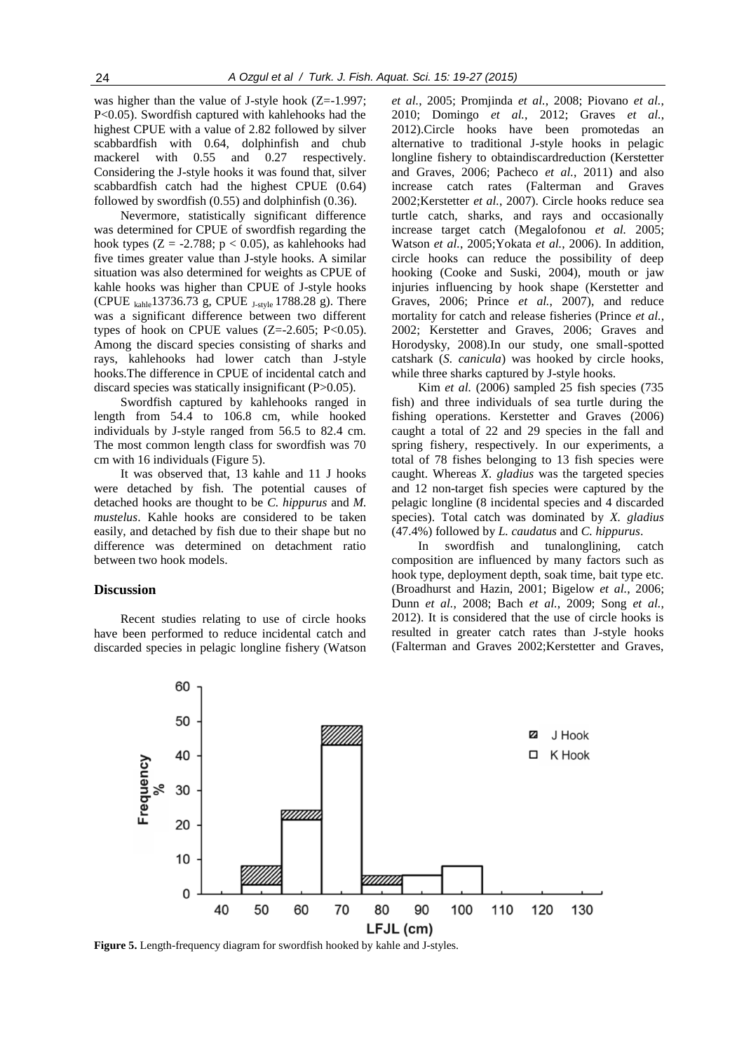was higher than the value of J-style hook (Z=-1.997; P<0.05). Swordfish captured with kahlehooks had the highest CPUE with a value of 2.82 followed by silver scabbardfish with 0.64, dolphinfish and chub mackerel with  $0.55$  and  $0.27$  respectively. Considering the J-style hooks it was found that, silver scabbardfish catch had the highest CPUE (0.64) followed by swordfish (0.55) and dolphinfish (0.36).

Nevermore, statistically significant difference was determined for CPUE of swordfish regarding the hook types ( $Z = -2.788$ ;  $p < 0.05$ ), as kahlehooks had five times greater value than J-style hooks. A similar situation was also determined for weights as CPUE of kahle hooks was higher than CPUE of J-style hooks (CPUE  $_{\text{kahle}}$ 13736.73 g, CPUE  $_{\text{J-stvle}}$  1788.28 g). There was a significant difference between two different types of hook on CPUE values  $(Z=2.605; P<0.05)$ . Among the discard species consisting of sharks and rays, kahlehooks had lower catch than J-style hooks.The difference in CPUE of incidental catch and discard species was statically insignificant (P>0.05).

Swordfish captured by kahlehooks ranged in length from 54.4 to 106.8 cm, while hooked individuals by J-style ranged from 56.5 to 82.4 cm. The most common length class for swordfish was 70 cm with 16 individuals (Figure 5).

It was observed that, 13 kahle and 11 J hooks were detached by fish. The potential causes of detached hooks are thought to be *C. hippurus* and *M. mustelus*. Kahle hooks are considered to be taken easily, and detached by fish due to their shape but no difference was determined on detachment ratio between two hook models.

#### **Discussion**

Recent studies relating to use of circle hooks have been performed to reduce incidental catch and discarded species in pelagic longline fishery (Watson

*et al.*, 2005; Promjinda *et al.*, 2008; Piovano *et al.*, 2010; Domingo *et al.*, 2012; Graves *et al.*, 2012).Circle hooks have been promotedas an alternative to traditional J-style hooks in pelagic longline fishery to obtaindiscardreduction (Kerstetter and Graves, 2006; Pacheco *et al.*, 2011) and also increase catch rates (Falterman and Graves 2002;Kerstetter *et al.*, 2007). Circle hooks reduce sea turtle catch, sharks, and rays and occasionally increase target catch (Megalofonou *et al.* 2005; Watson *et al.*, 2005;Yokata *et al.*, 2006). In addition, circle hooks can reduce the possibility of deep hooking (Cooke and Suski, 2004), mouth or jaw injuries influencing by hook shape (Kerstetter and Graves, 2006; Prince *et al.*, 2007), and reduce mortality for catch and release fisheries (Prince *et al.*, 2002; Kerstetter and Graves, 2006; Graves and Horodysky, 2008).In our study, one small-spotted catshark (*S. canicula*) was hooked by circle hooks, while three sharks captured by J-style hooks.

Kim *et al.* (2006) sampled 25 fish species (735 fish) and three individuals of sea turtle during the fishing operations. Kerstetter and Graves (2006) caught a total of 22 and 29 species in the fall and spring fishery, respectively. In our experiments, a total of 78 fishes belonging to 13 fish species were caught. Whereas *X. gladius* was the targeted species and 12 non-target fish species were captured by the pelagic longline (8 incidental species and 4 discarded species). Total catch was dominated by *X. gladius* (47.4%) followed by *L. caudatus* and *C. hippurus*.

In swordfish and tunalonglining, catch composition are influenced by many factors such as hook type, deployment depth, soak time, bait type etc. (Broadhurst and Hazin, 2001; Bigelow *et al.*, 2006; Dunn *et al.*, 2008; Bach *et al.*, 2009; Song *et al.*, 2012). It is considered that the use of circle hooks is resulted in greater catch rates than J-style hooks (Falterman and Graves 2002;Kerstetter and Graves,



**Figure 5.** Length-frequency diagram for swordfish hooked by kahle and J-styles.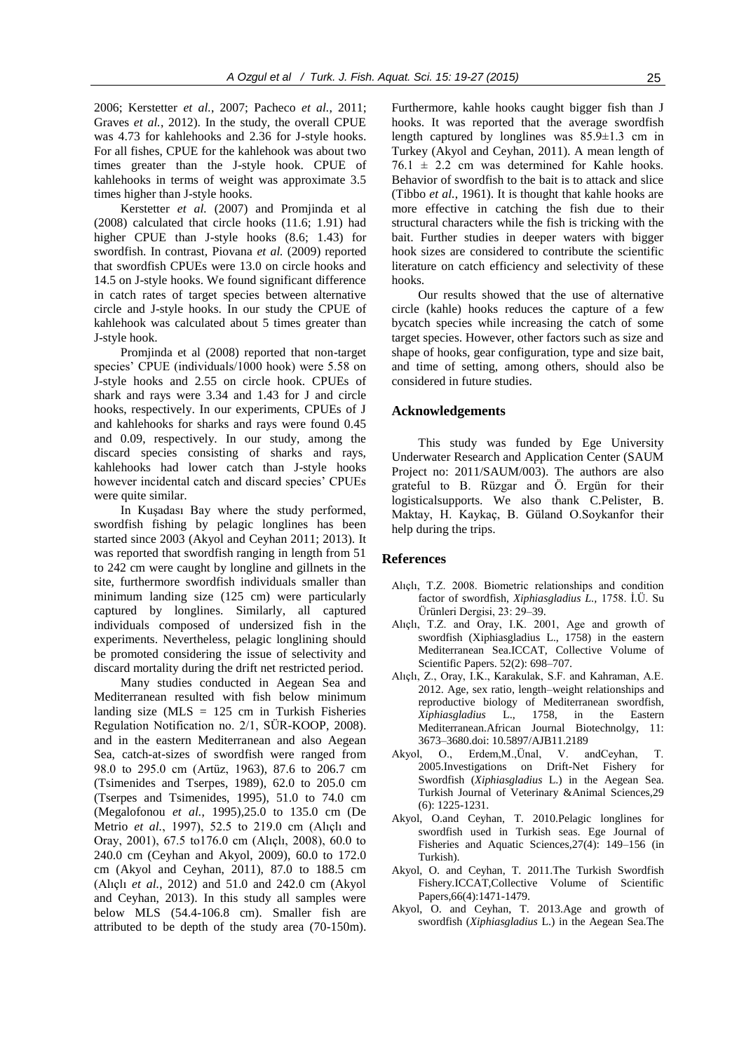2006; Kerstetter *et al.*, 2007; Pacheco *et al.*, 2011; Graves *et al.*, 2012). In the study, the overall CPUE was 4.73 for kahlehooks and 2.36 for J-style hooks. For all fishes, CPUE for the kahlehook was about two times greater than the J-style hook. CPUE of kahlehooks in terms of weight was approximate 3.5 times higher than J-style hooks.

Kerstetter *et al.* (2007) and Promjinda et al (2008) calculated that circle hooks (11.6; 1.91) had higher CPUE than J-style hooks (8.6; 1.43) for swordfish. In contrast, Piovana *et al.* (2009) reported that swordfish CPUEs were 13.0 on circle hooks and 14.5 on J-style hooks. We found significant difference in catch rates of target species between alternative circle and J-style hooks. In our study the CPUE of kahlehook was calculated about 5 times greater than J-style hook.

Promjinda et al (2008) reported that non-target species' CPUE (individuals/1000 hook) were 5.58 on J-style hooks and 2.55 on circle hook. CPUEs of shark and rays were 3.34 and 1.43 for J and circle hooks, respectively. In our experiments, CPUEs of J and kahlehooks for sharks and rays were found 0.45 and 0.09, respectively. In our study, among the discard species consisting of sharks and rays, kahlehooks had lower catch than J-style hooks however incidental catch and discard species' CPUEs were quite similar.

In Kuşadası Bay where the study performed, swordfish fishing by pelagic longlines has been started since 2003 (Akyol and Ceyhan 2011; 2013). It was reported that swordfish ranging in length from 51 to 242 cm were caught by longline and gillnets in the site, furthermore swordfish individuals smaller than minimum landing size (125 cm) were particularly captured by longlines. Similarly, all captured individuals composed of undersized fish in the experiments. Nevertheless, pelagic longlining should be promoted considering the issue of selectivity and discard mortality during the drift net restricted period.

Many studies conducted in Aegean Sea and Mediterranean resulted with fish below minimum landing size ( $MLS = 125$  cm in Turkish Fisheries Regulation Notification no. 2/1, SÜR-KOOP, 2008). and in the eastern Mediterranean and also Aegean Sea, catch-at-sizes of swordfish were ranged from 98.0 to 295.0 cm (Artüz, 1963), 87.6 to 206.7 cm (Tsimenides and Tserpes, 1989), 62.0 to 205.0 cm (Tserpes and Tsimenides, 1995), 51.0 to 74.0 cm (Megalofonou *et al.*, 1995),25.0 to 135.0 cm (De Metrio *et al.*, 1997), 52.5 to 219.0 cm (Alıçlı and Oray, 2001), 67.5 to176.0 cm (Alıçlı, 2008), 60.0 to 240.0 cm (Ceyhan and Akyol, 2009), 60.0 to 172.0 cm (Akyol and Ceyhan, 2011), 87.0 to 188.5 cm (Alıçlı *et al.*, 2012) and 51.0 and 242.0 cm (Akyol and Ceyhan, 2013). In this study all samples were below MLS (54.4-106.8 cm). Smaller fish are attributed to be depth of the study area (70-150m). Furthermore, kahle hooks caught bigger fish than J hooks. It was reported that the average swordfish length captured by longlines was 85.9±1.3 cm in Turkey (Akyol and Ceyhan, 2011). A mean length of  $76.1 \pm 2.2$  cm was determined for Kahle hooks. Behavior of swordfish to the bait is to attack and slice (Tibbo *et al.*, 1961). It is thought that kahle hooks are more effective in catching the fish due to their structural characters while the fish is tricking with the bait. Further studies in deeper waters with bigger hook sizes are considered to contribute the scientific literature on catch efficiency and selectivity of these hooks.

Our results showed that the use of alternative circle (kahle) hooks reduces the capture of a few bycatch species while increasing the catch of some target species. However, other factors such as size and shape of hooks, gear configuration, type and size bait, and time of setting, among others, should also be considered in future studies.

#### **Acknowledgements**

This study was funded by Ege University Underwater Research and Application Center (SAUM Project no: 2011/SAUM/003). The authors are also grateful to B. Rüzgar and Ö. Ergün for their logisticalsupports. We also thank C.Pelister, B. Maktay, H. Kaykaç, B. Güland O.Soykanfor their help during the trips.

#### **RefReferences**

- Alıçlı, T.Z. 2008. Biometric relationships and condition factor of swordfish, *Xiphiasgladius L.,* 1758. İ.Ü. Su Ürünleri Dergisi, 23: 29–39.
- Alıçlı, T.Z. and Oray, I.K. 2001, Age and growth of swordfish (Xiphiasgladius L., 1758) in the eastern Mediterranean Sea.ICCAT, Collective Volume of Scientific Papers. 52(2): 698–707.
- Alıçlı, Z., Oray, I.K., Karakulak, S.F. and Kahraman, A.E. 2012. Age, sex ratio, length–weight relationships and reproductive biology of Mediterranean swordfish, *Xiphiasgladius* L., 1758, in the Eastern Mediterranean.African Journal Biotechnolgy, 11: 3673–3680.doi: 10.5897/AJB11.2189
- Akyol, O., Erdem,M.,Ünal, V. andCeyhan, T. 2005.Investigations on Drift-Net Fishery for Swordfish (*Xiphiasgladius* L.) in the Aegean Sea. Turkish Journal of Veterinary &Animal Sciences,29 (6): 1225-1231.
- Akyol, O.and Ceyhan, T. 2010.Pelagic longlines for swordfish used in Turkish seas. Ege Journal of Fisheries and Aquatic Sciences,27(4): 149–156 (in Turkish).
- Akyol, O. and Ceyhan, T. 2011.The Turkish Swordfish Fishery.ICCAT,Collective Volume of Scientific Papers,66(4):1471-1479.
- Akyol, O. and Ceyhan, T. 2013.Age and growth of swordfish (*Xiphiasgladius* L.) in the Aegean Sea.The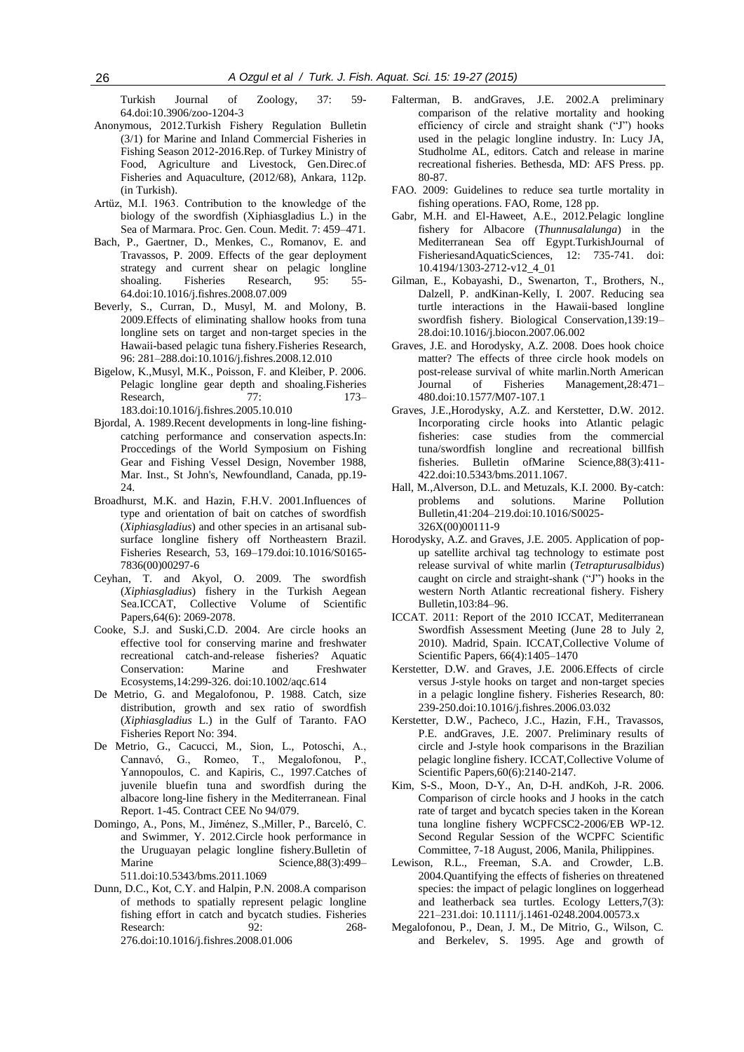Turkish Journal of Zoology, 37: 59- 64.doi:10.3906/zoo-1204-3

- Anonymous, 2012.Turkish Fishery Regulation Bulletin (3/1) for Marine and Inland Commercial Fisheries in Fishing Season 2012-2016.Rep. of Turkey Ministry of Food, Agriculture and Livestock, Gen.Direc.of Fisheries and Aquaculture, (2012/68), Ankara, 112p. (in Turkish).
- Artüz, M.I. 1963. Contribution to the knowledge of the biology of the swordfish (Xiphiasgladius L.) in the Sea of Marmara. Proc. Gen. Coun. Medit. 7: 459–471.
- Bach, P., Gaertner, D., Menkes, C., Romanov, E. and Travassos, P. 2009. Effects of the gear deployment strategy and current shear on pelagic longline<br>shoaling. Fisheries Research, 95: 55shoaling. Fisheries Research, 95: 55- 64.doi:10.1016/j.fishres.2008.07.009
- Beverly, S., Curran, D., Musyl, M. and Molony, B. 2009.Effects of eliminating shallow hooks from tuna longline sets on target and non-target species in the Hawaii-based pelagic tuna fishery.Fisheries Research, 96: 281–288.doi:10.1016/j.fishres.2008.12.010
- Bigelow, K.,Musyl, M.K., Poisson, F. and Kleiber, P. 2006. Pelagic longline gear depth and shoaling.Fisheries Research, 77: 173– 183.doi:10.1016/j.fishres.2005.10.010
- Bjordal, A. 1989.Recent developments in long-line fishingcatching performance and conservation aspects.In: Proccedings of the World Symposium on Fishing Gear and Fishing Vessel Design, November 1988, Mar. Inst., St John's, Newfoundland, Canada, pp.19- 24.
- Broadhurst, M.K. and Hazin, F.H.V. 2001.Influences of type and orientation of bait on catches of swordfish (*Xiphiasgladius*) and other species in an artisanal subsurface longline fishery off Northeastern Brazil. Fisheries Research, 53, 169–179.doi:10.1016/S0165- 7836(00)00297-6
- Ceyhan, T. and Akyol, O. 2009. The swordfish (*Xiphiasgladius*) fishery in the Turkish Aegean Sea.ICCAT, Collective Volume of Scientific Papers,64(6): 2069-2078.
- Cooke, S.J. and Suski,C.D. 2004. [Are circle hooks an](http://fishlab.nres.uiuc.edu/Reprints/Aquat%20Cons%20Mar%20FW%20Eco%202004.pdf)  [effective tool for conserving marine and freshwater](http://fishlab.nres.uiuc.edu/Reprints/Aquat%20Cons%20Mar%20FW%20Eco%202004.pdf)  [recreational catch-and-release fisheries?](http://fishlab.nres.uiuc.edu/Reprints/Aquat%20Cons%20Mar%20FW%20Eco%202004.pdf) Aquatic Conservation: Marine and Freshwater Ecosystems,14:299-326. doi:10.1002/aqc.614
- De Metrio, G. and Megalofonou, P. 1988. Catch, size distribution, growth and sex ratio of swordfish (*Xiphiasgladius* L.) in the Gulf of Taranto. FAO Fisheries Report No: 394.
- De Metrio, G., Cacucci, M., Sion, L., Potoschi, A., Cannavó, G., Romeo, T., Megalofonou, P., Yannopoulos, C. and Kapiris, C., 1997.Catches of juvenile bluefin tuna and swordfish during the albacore long-line fishery in the Mediterranean. Final Report. 1-45. Contract CEE No 94/079.
- Domingo, A., Pons, M., Jiménez, S.,Miller, P., Barceló, C. and Swimmer, Y. 2012.Circle hook performance in the Uruguayan pelagic longline fishery.Bulletin of Marine Science, 88(3): 499– 511.doi:10.5343/bms.2011.1069
- Dunn, D.C., Kot, C.Y. and Halpin, P.N. 2008.A comparison of methods to spatially represent pelagic longline fishing effort in catch and bycatch studies. Fisheries Research: 92: 268-276.doi:10.1016/j.fishres.2008.01.006
- Falterman, B. andGraves, J.E. 2002.A preliminary comparison of the relative mortality and hooking efficiency of circle and straight shank ("J") hooks used in the pelagic longline industry. In: Lucy JA, Studholme AL, editors. Catch and release in marine recreational fisheries. Bethesda, MD: AFS Press. pp. 80-87.
- FAO. 2009: Guidelines to reduce sea turtle mortality in fishing operations. FAO, Rome, 128 pp.
- Gabr, M.H. and El-Haweet, A.E., 2012.Pelagic longline fishery for Albacore (*Thunnusalalunga*) in the Mediterranean Sea off Egypt.TurkishJournal of FisheriesandAquaticSciences, 12: 735-741. doi: 10.4194/1303-2712-v12\_4\_01
- Gilman, E., Kobayashi, D., Swenarton, T., Brothers, N., Dalzell, P. andKinan-Kelly, I. 2007. Reducing sea turtle interactions in the Hawaii-based longline swordfish fishery. Biological Conservation,139:19– 28.doi:10.1016/j.biocon.2007.06.002
- Graves, J.E. and Horodysky, A.Z. 2008. Does hook choice matter? The effects of three circle hook models on post-release survival of white marlin.North American Journal of Fisheries Management,28:471– 480.doi:10.1577/M07-107.1
- Graves, J.E.,Horodysky, A.Z. and Kerstetter, D.W. 2012. Incorporating circle hooks into Atlantic pelagic fisheries: case studies from the commercial tuna/swordfish longline and recreational billfish fisheries. Bulletin ofMarine Science,88(3):411- 422.doi:10.5343/bms.2011.1067.
- Hall, M.,Alverson, D.L. and Metuzals, K.I. 2000. By-catch: problems and solutions. Marine Pollution Bulletin,41:204–219.doi:10.1016/S0025- 326X(00)00111-9
- Horodysky, A.Z. and Graves, J.E. 2005. Application of popup satellite archival tag technology to estimate post release survival of white marlin (*Tetrapturusalbidus*) caught on circle and straight-shank ("J") hooks in the western North Atlantic recreational fishery. Fishery Bulletin,103:84–96.
- ICCAT. 2011: Report of the 2010 ICCAT, Mediterranean Swordfish Assessment Meeting (June 28 to July 2, 2010). Madrid, Spain. ICCAT,Collective Volume of Scientific Papers, 66(4):1405–1470
- Kerstetter, D.W. and Graves, J.E. 2006.Effects of circle versus J-style hooks on target and non-target species in a pelagic longline fishery. Fisheries Research, 80: 239-250.doi:10.1016/j.fishres.2006.03.032
- Kerstetter, D.W., Pacheco, J.C., Hazin, F.H., Travassos, P.E. andGraves, J.E. 2007. Preliminary results of circle and J-style hook comparisons in the Brazilian pelagic longline fishery. ICCAT,Collective Volume of Scientific Papers,60(6):2140-2147.
- Kim, S-S., Moon, D-Y., An, D-H. andKoh, J-R. 2006. Comparison of circle hooks and J hooks in the catch rate of target and bycatch species taken in the Korean tuna longline fishery WCPFCSC2-2006/EB WP-12. Second Regular Session of the WCPFC Scientific Committee, 7-18 August, 2006, Manila, Philippines.
- Lewison, R.L., Freeman, S.A. and Crowder, L.B. 2004.Quantifying the effects of fisheries on threatened species: the impact of pelagic longlines on loggerhead and leatherback sea turtles. Ecology Letters,7(3): 221–231.doi: 10.1111/j.1461-0248.2004.00573.x
- Megalofonou, P., Dean, J. M., De Mitrio, G., Wilson, C. and Berkelev, S. 1995. Age and growth of